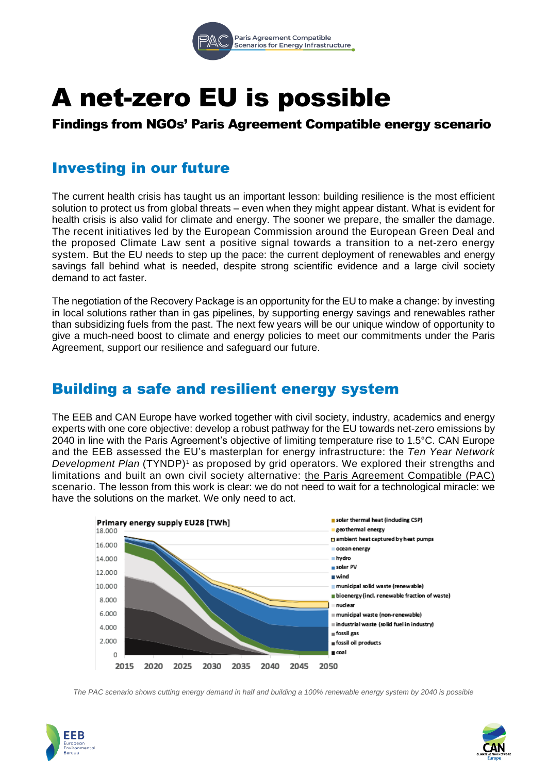

# A net-zero EU is possible

## Findings from NGOs' Paris Agreement Compatible energy scenario

# Investing in our future

The current health crisis has taught us an important lesson: building resilience is the most efficient solution to protect us from global threats – even when they might appear distant. What is evident for health crisis is also valid for climate and energy. The sooner we prepare, the smaller the damage. The recent initiatives led by the European Commission around the European Green Deal and the proposed Climate Law sent a positive signal towards a transition to a net-zero energy system. But the EU needs to step up the pace: the current deployment of renewables and energy savings fall behind what is needed, despite strong scientific evidence and a large civil society demand to act faster.

The negotiation of the Recovery Package is an opportunity for the EU to make a change: by investing in local solutions rather than in gas pipelines, by supporting energy savings and renewables rather than subsidizing fuels from the past. The next few years will be our unique window of opportunity to give a much-need boost to climate and energy policies to meet our commitments under the Paris Agreement, support our resilience and safeguard our future.

## Building a safe and resilient energy system

The EEB and CAN Europe have worked together with civil society, industry, academics and energy experts with one core objective: develop a robust pathway for the EU towards net-zero emissions by 2040 in line with the Paris Agreement's objective of limiting temperature rise to 1.5°C. CAN Europe and the EEB assessed the EU's masterplan for energy infrastructure: the *Ten Year Network Development Plan* (TYNDP)<sup>1</sup> as proposed by grid operators. We explored their strengths and limitations and built an own civil society alternative: the Paris Agreement [Compatible](https://www.pac-scenarios.eu/scenario-development.html?L=) (PAC) [scenario.](https://www.pac-scenarios.eu/scenario-development.html?L=) The lesson from this work is clear: we do not need to wait for a technological miracle: we have the solutions on the market. We only need to act.



The PAC scenario shows cutting energy demand in half and building a 100% renewable energy system by 2040 is possible



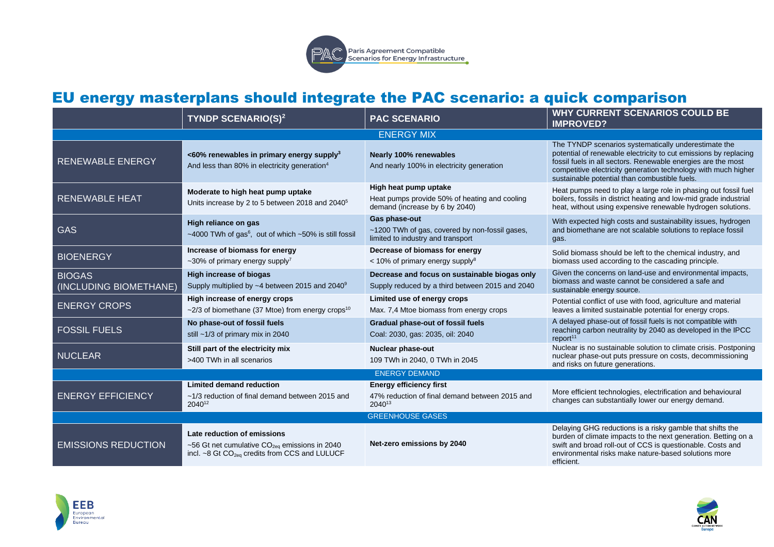

# EU energy masterplans should integrate the PAC scenario: a quick comparison

|                                         | <b>TYNDP SCENARIO(S)<sup>2</sup></b>                                                                                                                  | <b>PAC SCENARIO</b>                                                                                      | <b>WHY CURRENT SCENARIOS COULD BE</b><br><b>IMPROVED?</b>                                                                                                                                                                                                                                                   |
|-----------------------------------------|-------------------------------------------------------------------------------------------------------------------------------------------------------|----------------------------------------------------------------------------------------------------------|-------------------------------------------------------------------------------------------------------------------------------------------------------------------------------------------------------------------------------------------------------------------------------------------------------------|
| <b>ENERGY MIX</b>                       |                                                                                                                                                       |                                                                                                          |                                                                                                                                                                                                                                                                                                             |
| <b>RENEWABLE ENERGY</b>                 | <60% renewables in primary energy supply <sup>3</sup><br>And less than 80% in electricity generation <sup>4</sup>                                     | <b>Nearly 100% renewables</b><br>And nearly 100% in electricity generation                               | The TYNDP scenarios systematically underestimate the<br>potential of renewable electricity to cut emissions by replacing<br>fossil fuels in all sectors. Renewable energies are the most<br>competitive electricity generation technology with much higher<br>sustainable potential than combustible fuels. |
| <b>RENEWABLE HEAT</b>                   | Moderate to high heat pump uptake<br>Units increase by 2 to 5 between 2018 and 2040 <sup>5</sup>                                                      | High heat pump uptake<br>Heat pumps provide 50% of heating and cooling<br>demand (increase by 6 by 2040) | Heat pumps need to play a large role in phasing out fossil fuel<br>boilers, fossils in district heating and low-mid grade industrial<br>heat, without using expensive renewable hydrogen solutions.                                                                                                         |
| <b>GAS</b>                              | High reliance on gas<br>~4000 TWh of gas <sup>6</sup> , out of which ~50% is still fossil                                                             | Gas phase-out<br>~1200 TWh of gas, covered by non-fossil gases,<br>limited to industry and transport     | With expected high costs and sustainability issues, hydrogen<br>and biomethane are not scalable solutions to replace fossil<br>gas.                                                                                                                                                                         |
| <b>BIOENERGY</b>                        | Increase of biomass for energy<br>~30% of primary energy supply <sup>7</sup>                                                                          | Decrease of biomass for energy<br>$<$ 10% of primary energy supply <sup>8</sup>                          | Solid biomass should be left to the chemical industry, and<br>biomass used according to the cascading principle.                                                                                                                                                                                            |
| <b>BIOGAS</b><br>(INCLUDING BIOMETHANE) | High increase of biogas<br>Supply multiplied by ~4 between 2015 and 2040 <sup>9</sup>                                                                 | Decrease and focus on sustainable biogas only<br>Supply reduced by a third between 2015 and 2040         | Given the concerns on land-use and environmental impacts,<br>biomass and waste cannot be considered a safe and<br>sustainable energy source.                                                                                                                                                                |
| <b>ENERGY CROPS</b>                     | High increase of energy crops<br>$\sim$ 2/3 of biomethane (37 Mtoe) from energy crops <sup>10</sup>                                                   | Limited use of energy crops<br>Max. 7.4 Mtoe biomass from energy crops                                   | Potential conflict of use with food, agriculture and material<br>leaves a limited sustainable potential for energy crops.                                                                                                                                                                                   |
| <b>FOSSIL FUELS</b>                     | No phase-out of fossil fuels<br>still ~1/3 of primary mix in 2040                                                                                     | <b>Gradual phase-out of fossil fuels</b><br>Coal: 2030, gas: 2035, oil: 2040                             | A delayed phase-out of fossil fuels is not compatible with<br>reaching carbon neutrality by 2040 as developed in the IPCC<br>report <sup>11</sup>                                                                                                                                                           |
| <b>NUCLEAR</b>                          | Still part of the electricity mix<br>>400 TWh in all scenarios                                                                                        | <b>Nuclear phase-out</b><br>109 TWh in 2040, 0 TWh in 2045                                               | Nuclear is no sustainable solution to climate crisis. Postponing<br>nuclear phase-out puts pressure on costs, decommissioning<br>and risks on future generations.                                                                                                                                           |
| <b>ENERGY DEMAND</b>                    |                                                                                                                                                       |                                                                                                          |                                                                                                                                                                                                                                                                                                             |
| <b>ENERGY EFFICIENCY</b>                | <b>Limited demand reduction</b><br>~1/3 reduction of final demand between 2015 and<br>204012                                                          | <b>Energy efficiency first</b><br>47% reduction of final demand between 2015 and<br>2040 <sup>13</sup>   | More efficient technologies, electrification and behavioural<br>changes can substantially lower our energy demand.                                                                                                                                                                                          |
| <b>GREENHOUSE GASES</b>                 |                                                                                                                                                       |                                                                                                          |                                                                                                                                                                                                                                                                                                             |
| <b>EMISSIONS REDUCTION</b>              | Late reduction of emissions<br>~56 Gt net cumulative CO <sub>2eq</sub> emissions in 2040<br>incl. ~8 Gt CO <sub>2eq</sub> credits from CCS and LULUCF | Net-zero emissions by 2040                                                                               | Delaying GHG reductions is a risky gamble that shifts the<br>burden of climate impacts to the next generation. Betting on a<br>swift and broad roll-out of CCS is questionable. Costs and<br>environmental risks make nature-based solutions more<br>efficient.                                             |



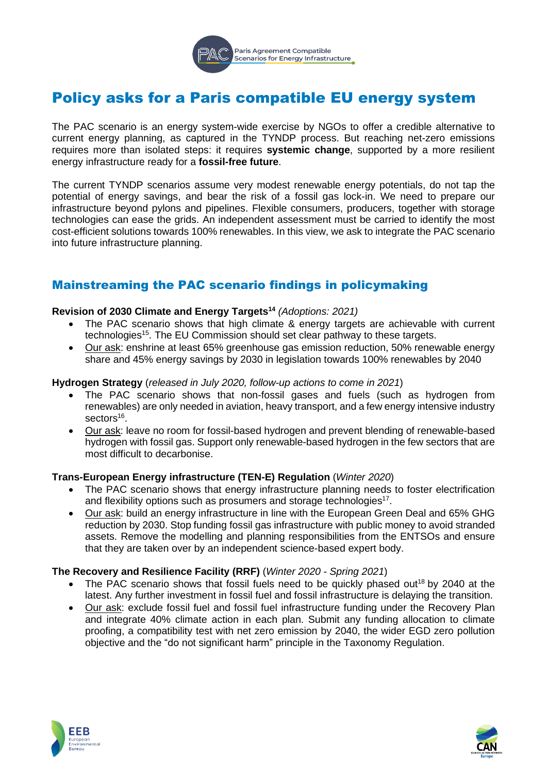

# Policy asks for a Paris compatible EU energy system

The PAC scenario is an energy system-wide exercise by NGOs to offer a credible alternative to current energy planning, as captured in the TYNDP process. But reaching net-zero emissions requires more than isolated steps: it requires **systemic change**, supported by a more resilient energy infrastructure ready for a **fossil-free future**.

The current TYNDP scenarios assume very modest renewable energy potentials, do not tap the potential of energy savings, and bear the risk of a fossil gas lock-in. We need to prepare our infrastructure beyond pylons and pipelines. Flexible consumers, producers, together with storage technologies can ease the grids. An independent assessment must be carried to identify the most cost-efficient solutions towards 100% renewables. In this view, we ask to integrate the PAC scenario into future infrastructure planning.

## Mainstreaming the PAC scenario findings in policymaking

#### **Revision of 2030 Climate and Energy Targets<sup>14</sup>** *(Adoptions: 2021)*

- The PAC scenario shows that high climate & energy targets are achievable with current technologies<sup>15</sup>. The EU Commission should set clear pathway to these targets.
- Our ask: enshrine at least 65% greenhouse gas emission reduction, 50% renewable energy share and 45% energy savings by 2030 in legislation towards 100% renewables by 2040

#### **Hydrogen Strategy** (*released in July 2020, follow-up actions to come in 2021*)

- The PAC scenario shows that non-fossil gases and fuels (such as hydrogen from renewables) are only needed in aviation, heavy transport, and a few energy intensive industry sectors<sup>16</sup>.
- Our ask: leave no room for fossil-based hydrogen and prevent blending of renewable-based hydrogen with fossil gas. Support only renewable-based hydrogen in the few sectors that are most difficult to decarbonise.

#### **Trans-European Energy infrastructure (TEN-E) Regulation** (*Winter 2020*)

- The PAC scenario shows that energy infrastructure planning needs to foster electrification and flexibility options such as prosumers and storage technologies<sup>17</sup>.
- Our ask: build an energy infrastructure in line with the European Green Deal and 65% GHG reduction by 2030. Stop funding fossil gas infrastructure with public money to avoid stranded assets. Remove the modelling and planning responsibilities from the ENTSOs and ensure that they are taken over by an independent science-based expert body.

#### **The Recovery and Resilience Facility (RRF)** (*Winter 2020 - Spring 2021*)

- The PAC scenario shows that fossil fuels need to be quickly phased out<sup>18</sup> by 2040 at the latest. Any further investment in fossil fuel and fossil infrastructure is delaying the transition.
- Our ask: exclude fossil fuel and fossil fuel infrastructure funding under the Recovery Plan and integrate 40% climate action in each plan. Submit any funding allocation to climate proofing, a compatibility test with net zero emission by 2040, the wider EGD zero pollution objective and the "do not significant harm" principle in the Taxonomy Regulation.